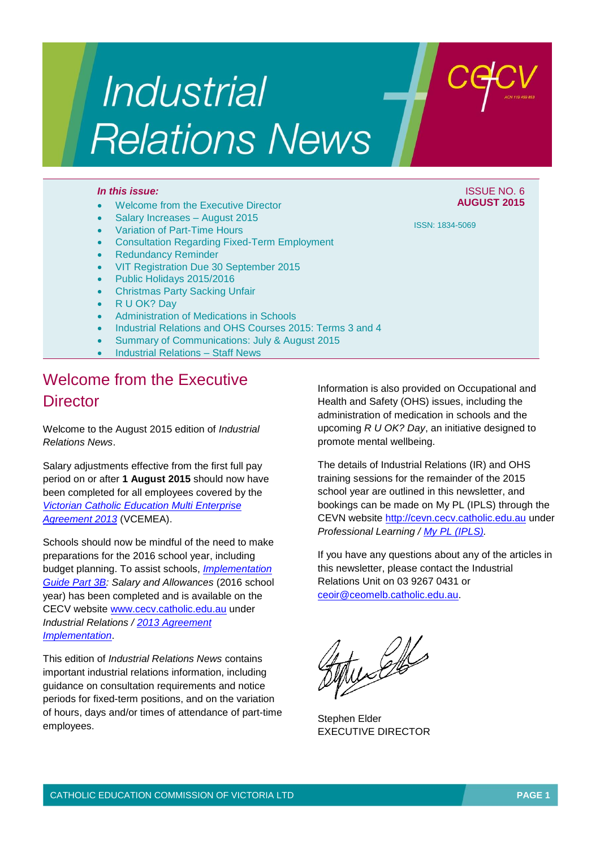# Industrial **Relations News**

#### *In this issue:* ISSUE NO. 6

- Welcome from the Executive Director
- Salary Increases August 2015
- Variation of Part-Time Hours
- Consultation Regarding Fixed-Term Employment
- Redundancy Reminder
- VIT Registration Due 30 September 2015
- Public Holidays 2015/2016
- Christmas Party Sacking Unfair
- R U OK? Day
- Administration of Medications in Schools
- Industrial Relations and OHS Courses 2015: Terms 3 and 4
- Summary of Communications: July & August 2015
- Industrial Relations Staff News

# Welcome from the Executive **Director**

Welcome to the August 2015 edition of *Industrial Relations News*.

Salary adjustments effective from the first full pay period on or after **1 August 2015** should now have been completed for all employees covered by the *[Victorian Catholic Education Multi Enterprise](http://web.cecv.catholic.edu.au/vcsa/Agreement_2013/VCEMEA_2013.pdf)  [Agreement 2013](http://web.cecv.catholic.edu.au/vcsa/Agreement_2013/VCEMEA_2013.pdf)* (VCEMEA).

Schools should now be mindful of the need to make preparations for the 2016 school year, including budget planning. To assist schools, *[Implementation](http://www.cecv.catholic.edu.au/vcsa/Implementation_Guidelines/Salary_Implementation/Part_3_B.pdf)  [Guide Part 3B:](http://www.cecv.catholic.edu.au/vcsa/Implementation_Guidelines/Salary_Implementation/Part_3_B.pdf) Salary and Allowances* (2016 school year) has been completed and is available on the CECV website [www.cecv.catholic.edu.au](http://www.cecv.catholic.edu.au/) under *Industrial Relations / [2013 Agreement](http://www.cecv.catholic.edu.au/vcsa/Implementation_Guidelines/implementation_guides.htm)  [Implementation](http://www.cecv.catholic.edu.au/vcsa/Implementation_Guidelines/implementation_guides.htm)*.

This edition of *Industrial Relations News* contains important industrial relations information, including guidance on consultation requirements and notice periods for fixed-term positions, and on the variation of hours, days and/or times of attendance of part-time employees.

Information is also provided on Occupational and Health and Safety (OHS) issues, including the administration of medication in schools and the upcoming *R U OK? Day*, an initiative designed to promote mental wellbeing.

The details of Industrial Relations (IR) and OHS training sessions for the remainder of the 2015 school year are outlined in this newsletter, and bookings can be made on My PL (IPLS) through the CEVN website [http://cevn.cecv.catholic.edu.au](http://cevn.cecv.catholic.edu.au/) under *Professional Learning / [My PL \(IPLS\).](http://cevn.cecv.catholic.edu.au/ProfessionalLearning.aspx?id=7160)*

If you have any questions about any of the articles in this newsletter, please contact the Industrial Relations Unit on 03 9267 0431 or [ceoir@ceomelb.catholic.edu.au.](mailto:ceoir@ceomelb.catholic.edu.au)

the Elle

Stephen Elder EXECUTIVE DIRECTOR

ISSN: 1834-5069

**AUGUST 2015**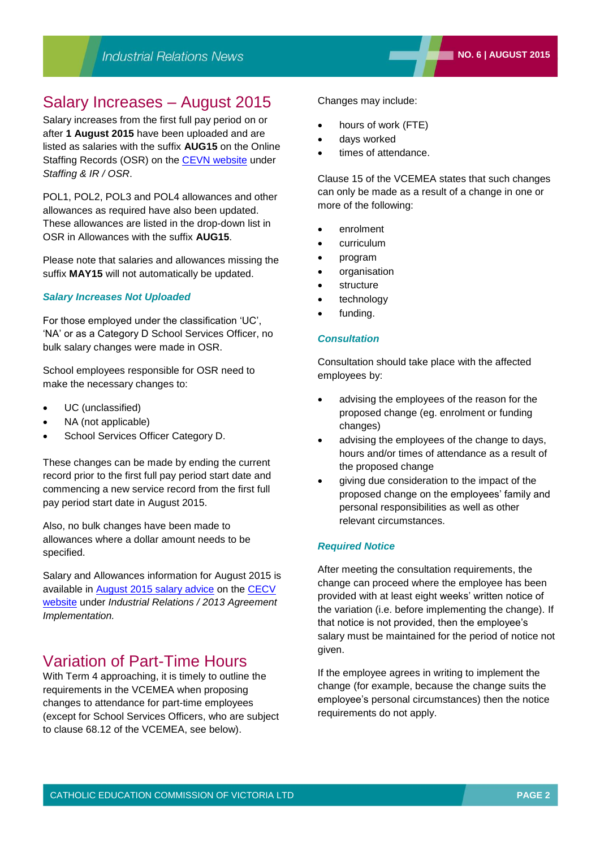# Salary Increases – August 2015

Salary increases from the first full pay period on or after **1 August 2015** have been uploaded and are listed as salaries with the suffix **AUG15** on the Online Staffing Records (OSR) on the [CEVN website](http://cevn.cecv.catholic.edu.au/) under *Staffing & IR / OSR*.

POL1, POL2, POL3 and POL4 allowances and other allowances as required have also been updated. These allowances are listed in the drop-down list in OSR in Allowances with the suffix **AUG15**.

Please note that salaries and allowances missing the suffix **MAY15** will not automatically be updated.

#### *Salary Increases Not Uploaded*

For those employed under the classification 'UC', 'NA' or as a Category D School Services Officer, no bulk salary changes were made in OSR.

School employees responsible for OSR need to make the necessary changes to:

- UC (unclassified)
- NA (not applicable)
- School Services Officer Category D.

These changes can be made by ending the current record prior to the first full pay period start date and commencing a new service record from the first full pay period start date in August 2015.

Also, no bulk changes have been made to allowances where a dollar amount needs to be specified.

Salary and Allowances information for August 2015 is available in [August 2015 salary advice](http://www.cecv.catholic.edu.au/vcsa/Implementation_Guidelines/Salary_Implementation/August_2015_Rates.pdf) on the [CECV](http://www.cecv.catholic.edu.au/)  [website](http://www.cecv.catholic.edu.au/) under *Industrial Relations / 2013 Agreement Implementation.*

# Variation of Part-Time Hours

With Term 4 approaching, it is timely to outline the requirements in the VCEMEA when proposing changes to attendance for part-time employees (except for School Services Officers, who are subject to clause 68.12 of the VCEMEA, see below).

Changes may include:

- hours of work (FTE)
- days worked
- times of attendance.

Clause 15 of the VCEMEA states that such changes can only be made as a result of a change in one or more of the following:

- enrolment
- curriculum
- program
- organisation
- structure
- technology
- funding.

#### *Consultation*

Consultation should take place with the affected employees by:

- advising the employees of the reason for the proposed change (eg. enrolment or funding changes)
- advising the employees of the change to days, hours and/or times of attendance as a result of the proposed change
- giving due consideration to the impact of the proposed change on the employees' family and personal responsibilities as well as other relevant circumstances.

#### *Required Notice*

After meeting the consultation requirements, the change can proceed where the employee has been provided with at least eight weeks' written notice of the variation (i.e. before implementing the change). If that notice is not provided, then the employee's salary must be maintained for the period of notice not given.

If the employee agrees in writing to implement the change (for example, because the change suits the employee's personal circumstances) then the notice requirements do not apply.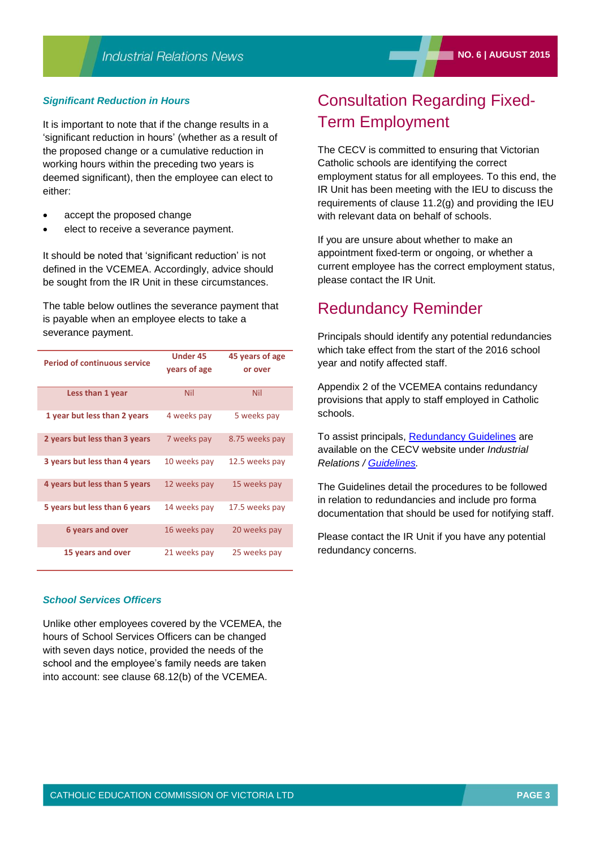#### *Significant Reduction in Hours*

It is important to note that if the change results in a 'significant reduction in hours' (whether as a result of the proposed change or a cumulative reduction in working hours within the preceding two years is deemed significant), then the employee can elect to either:

- accept the proposed change
- elect to receive a severance payment.

It should be noted that 'significant reduction' is not defined in the VCEMEA. Accordingly, advice should be sought from the IR Unit in these circumstances.

The table below outlines the severance payment that is payable when an employee elects to take a severance payment.

| <b>Period of continuous service</b> | <b>Under 45</b> | 45 years of age |
|-------------------------------------|-----------------|-----------------|
|                                     | years of age    | or over         |
| Less than 1 year                    | Nil             | Nil             |
| 1 year but less than 2 years        | 4 weeks pay     | 5 weeks pay     |
| 2 years but less than 3 years       | 7 weeks pay     | 8.75 weeks pay  |
| 3 years but less than 4 years       | 10 weeks pay    | 12.5 weeks pay  |
| 4 years but less than 5 years       | 12 weeks pay    | 15 weeks pay    |
| 5 years but less than 6 years       | 14 weeks pay    | 17.5 weeks pay  |
| 6 years and over                    | 16 weeks pay    | 20 weeks pay    |
| 15 years and over                   | 21 weeks pay    | 25 weeks pay    |

#### *School Services Officers*

Unlike other employees covered by the VCEMEA, the hours of School Services Officers can be changed with seven days notice, provided the needs of the school and the employee's family needs are taken into account: see clause 68.12(b) of the VCEMEA.

# Consultation Regarding Fixed-Term Employment

The CECV is committed to ensuring that Victorian Catholic schools are identifying the correct employment status for all employees. To this end, the IR Unit has been meeting with the IEU to discuss the requirements of clause 11.2(g) and providing the IEU with relevant data on behalf of schools.

If you are unsure about whether to make an appointment fixed-term or ongoing, or whether a current employee has the correct employment status, please contact the IR Unit.

### Redundancy Reminder

Principals should identify any potential redundancies which take effect from the start of the 2016 school year and notify affected staff.

Appendix 2 of the VCEMEA contains redundancy provisions that apply to staff employed in Catholic schools.

To assist principals, [Redundancy Guidelines](http://www.cecv.catholic.edu.au/vcsa/guidelines/redundancy/redundancy13.htm) are available on the CECV website under *Industrial Relations / [Guidelines.](http://web.cecv.catholic.edu.au/vcsa/guidelines/guideindex.htm)*

The Guidelines detail the procedures to be followed in relation to redundancies and include pro forma documentation that should be used for notifying staff.

Please contact the IR Unit if you have any potential redundancy concerns.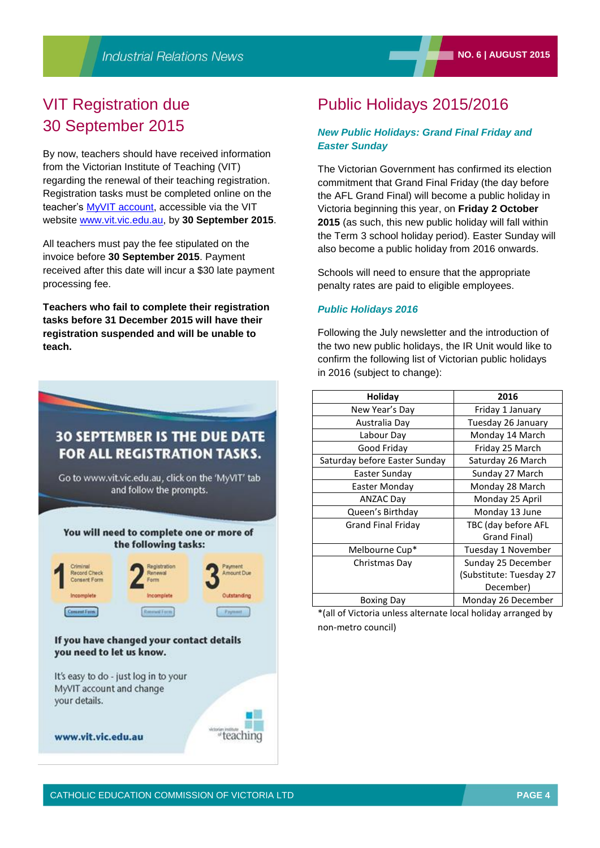# VIT Registration due 30 September 2015

By now, teachers should have received information from the Victorian Institute of Teaching (VIT) regarding the renewal of their teaching registration. Registration tasks must be completed online on the teacher's [MyVIT account,](https://my.vit.vic.edu.au/Teachers/Account.aspx/ResetPortalAccount) accessible via the VIT website [www.vit.vic.edu.au,](http://www.vit.vic.edu.au/) by **30 September 2015**.

All teachers must pay the fee stipulated on the invoice before **30 September 2015**. Payment received after this date will incur a \$30 late payment processing fee.

**Teachers who fail to complete their registration tasks before 31 December 2015 will have their registration suspended and will be unable to teach.**



# Public Holidays 2015/2016

### *New Public Holidays: Grand Final Friday and Easter Sunday*

The Victorian Government has confirmed its election commitment that Grand Final Friday (the day before the AFL Grand Final) will become a public holiday in Victoria beginning this year, on **Friday 2 October 2015** (as such, this new public holiday will fall within the Term 3 school holiday period). Easter Sunday will also become a public holiday from 2016 onwards.

Schools will need to ensure that the appropriate penalty rates are paid to eligible employees.

### *Public Holidays 2016*

Following the July newsletter and the introduction of the two new public holidays, the IR Unit would like to confirm the following list of Victorian public holidays in 2016 (subject to change):

| Holiday                       | 2016                    |
|-------------------------------|-------------------------|
| New Year's Day                | Friday 1 January        |
| Australia Day                 | Tuesday 26 January      |
| Labour Day                    | Monday 14 March         |
| Good Friday                   | Friday 25 March         |
| Saturday before Easter Sunday | Saturday 26 March       |
| Easter Sunday                 | Sunday 27 March         |
| Easter Monday                 | Monday 28 March         |
| <b>ANZAC Day</b>              | Monday 25 April         |
| Queen's Birthday              | Monday 13 June          |
| <b>Grand Final Friday</b>     | TBC (day before AFL     |
|                               | Grand Final)            |
| Melbourne Cup*                | Tuesday 1 November      |
| Christmas Day                 | Sunday 25 December      |
|                               | (Substitute: Tuesday 27 |
|                               | December)               |
| <b>Boxing Day</b>             | Monday 26 December      |

\*(all of Victoria unless alternate local holiday arranged by non-metro council)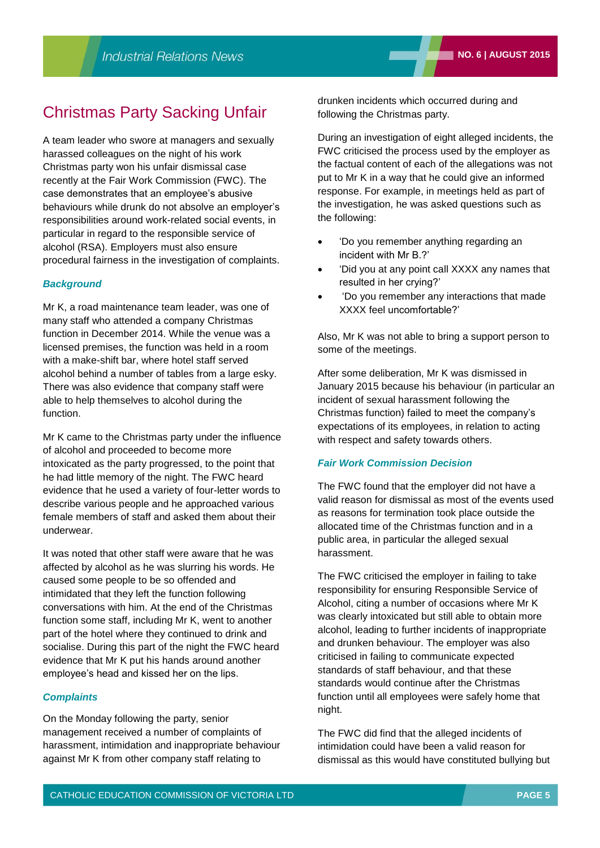### Christmas Party Sacking Unfair

A team leader who swore at managers and sexually harassed colleagues on the night of his work Christmas party won his unfair dismissal case recently at the Fair Work Commission (FWC). The case demonstrates that an employee's abusive behaviours while drunk do not absolve an employer's responsibilities around work-related social events, in particular in regard to the responsible service of alcohol (RSA). Employers must also ensure procedural fairness in the investigation of complaints.

#### *Background*

Mr K, a road maintenance team leader, was one of many staff who attended a company Christmas function in December 2014. While the venue was a licensed premises, the function was held in a room with a make-shift bar, where hotel staff served alcohol behind a number of tables from a large esky. There was also evidence that company staff were able to help themselves to alcohol during the function.

Mr K came to the Christmas party under the influence of alcohol and proceeded to become more intoxicated as the party progressed, to the point that he had little memory of the night. The FWC heard evidence that he used a variety of four-letter words to describe various people and he approached various female members of staff and asked them about their underwear.

It was noted that other staff were aware that he was affected by alcohol as he was slurring his words. He caused some people to be so offended and intimidated that they left the function following conversations with him. At the end of the Christmas function some staff, including Mr K, went to another part of the hotel where they continued to drink and socialise. During this part of the night the FWC heard evidence that Mr K put his hands around another employee's head and kissed her on the lips.

#### *Complaints*

On the Monday following the party, senior management received a number of complaints of harassment, intimidation and inappropriate behaviour against Mr K from other company staff relating to

drunken incidents which occurred during and following the Christmas party.

During an investigation of eight alleged incidents, the FWC criticised the process used by the employer as the factual content of each of the allegations was not put to Mr K in a way that he could give an informed response. For example, in meetings held as part of the investigation, he was asked questions such as the following:

- 'Do you remember anything regarding an incident with Mr B.?'
- 'Did you at any point call XXXX any names that resulted in her crying?'
- 'Do you remember any interactions that made XXXX feel uncomfortable?'

Also, Mr K was not able to bring a support person to some of the meetings.

After some deliberation, Mr K was dismissed in January 2015 because his behaviour (in particular an incident of sexual harassment following the Christmas function) failed to meet the company's expectations of its employees, in relation to acting with respect and safety towards others.

#### *Fair Work Commission Decision*

The FWC found that the employer did not have a valid reason for dismissal as most of the events used as reasons for termination took place outside the allocated time of the Christmas function and in a public area, in particular the alleged sexual harassment.

The FWC criticised the employer in failing to take responsibility for ensuring Responsible Service of Alcohol, citing a number of occasions where Mr K was clearly intoxicated but still able to obtain more alcohol, leading to further incidents of inappropriate and drunken behaviour. The employer was also criticised in failing to communicate expected standards of staff behaviour, and that these standards would continue after the Christmas function until all employees were safely home that night.

The FWC did find that the alleged incidents of intimidation could have been a valid reason for dismissal as this would have constituted bullying but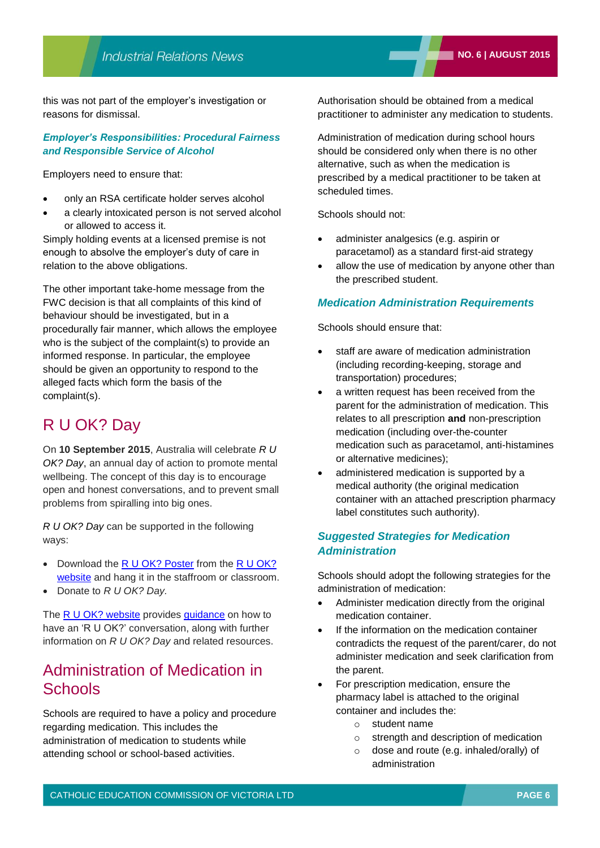this was not part of the employer's investigation or reasons for dismissal.

#### *Employer's Responsibilities: Procedural Fairness and Responsible Service of Alcohol*

Employers need to ensure that:

- only an RSA certificate holder serves alcohol
- a clearly intoxicated person is not served alcohol or allowed to access it.

Simply holding events at a licensed premise is not enough to absolve the employer's duty of care in relation to the above obligations.

The other important take-home message from the FWC decision is that all complaints of this kind of behaviour should be investigated, but in a procedurally fair manner, which allows the employee who is the subject of the complaint(s) to provide an informed response. In particular, the employee should be given an opportunity to respond to the alleged facts which form the basis of the complaint(s).

# R U OK? Day

On **10 September 2015**, Australia will celebrate *R U OK? Day*, an annual day of action to promote mental wellbeing. The concept of this day is to encourage open and honest conversations, and to prevent small problems from spiralling into big ones.

*R U OK? Day* can be supported in the following ways:

- Download the [R U OK? Poster](http://store.ruokday.com/conversation-poster/) from the [R U OK?](https://www.ruok.org.au/)  [website](https://www.ruok.org.au/) and hang it in the staffroom or classroom.
- Donate to *R U OK? Day.*

The [R U OK? website](https://www.ruok.org.au/) provides [guidance](https://www.ruok.org.au/how-to-ask) on how to have an 'R U OK?' conversation, along with further information on *R U OK? Day* and related resources.

# Administration of Medication in **Schools**

Schools are required to have a policy and procedure regarding medication. This includes the administration of medication to students while attending school or school-based activities.

Authorisation should be obtained from a medical practitioner to administer any medication to students.

Administration of medication during school hours should be considered only when there is no other alternative, such as when the medication is prescribed by a medical practitioner to be taken at scheduled times.

Schools should not:

- administer analgesics (e.g. aspirin or paracetamol) as a standard first-aid strategy
- allow the use of medication by anyone other than the prescribed student.

### *Medication Administration Requirements*

Schools should ensure that:

- staff are aware of medication administration (including recording-keeping, storage and transportation) procedures;
- a written request has been received from the parent for the administration of medication. This relates to all prescription **and** non-prescription medication (including over-the-counter medication such as paracetamol, anti-histamines or alternative medicines);
- administered medication is supported by a medical authority (the original medication container with an attached prescription pharmacy label constitutes such authority).

### *Suggested Strategies for Medication Administration*

Schools should adopt the following strategies for the administration of medication:

- Administer medication directly from the original medication container.
- If the information on the medication container contradicts the request of the parent/carer, do not administer medication and seek clarification from the parent.
- For prescription medication, ensure the pharmacy label is attached to the original container and includes the:
	- o student name
	- o strength and description of medication
	- o dose and route (e.g. inhaled/orally) of administration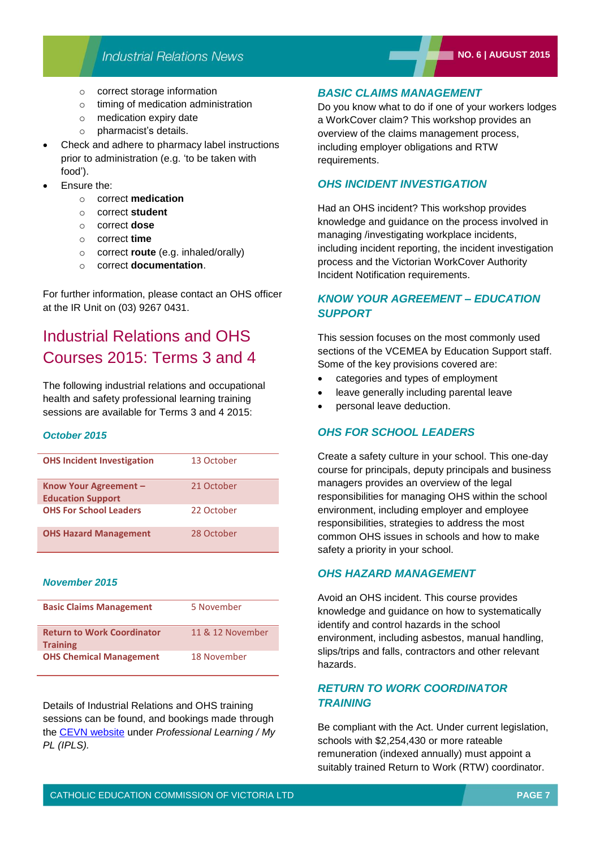### **Industrial Relations News**

- o correct storage information
- o timing of medication administration
- o medication expiry date
- o pharmacist's details.
- Check and adhere to pharmacy label instructions prior to administration (e.g. 'to be taken with food').
- Ensure the:
	- o correct **medication**
	- o correct **student**
	- o correct **dose**
	- o correct **time**
	- o correct **route** (e.g. inhaled/orally)
	- o correct **documentation**.

For further information, please contact an OHS officer at the IR Unit on (03) 9267 0431.

# Industrial Relations and OHS Courses 2015: Terms 3 and 4

The following industrial relations and occupational health and safety professional learning training sessions are available for Terms 3 and 4 2015:

#### *October 2015*

| <b>OHS Incident Investigation</b>                 | 13 October |
|---------------------------------------------------|------------|
| Know Your Agreement -<br><b>Education Support</b> | 21 October |
| <b>OHS For School Leaders</b>                     | 22 October |
| <b>OHS Hazard Management</b>                      | 28 October |

#### *November 2015*

| <b>Basic Claims Management</b>                       | 5 November       |
|------------------------------------------------------|------------------|
| <b>Return to Work Coordinator</b><br><b>Training</b> | 11 & 12 November |
| <b>OHS Chemical Management</b>                       | 18 November      |

Details of Industrial Relations and OHS training sessions can be found, and bookings made through the [CEVN website](http://cevn.cecv.catholic.edu.au/) under *Professional Learning / My PL (IPLS).*

### *BASIC CLAIMS MANAGEMENT*

Do you know what to do if one of your workers lodges a WorkCover claim? This workshop provides an overview of the claims management process, including employer obligations and RTW requirements.

### *OHS INCIDENT INVESTIGATION*

Had an OHS incident? This workshop provides knowledge and guidance on the process involved in managing /investigating workplace incidents, including incident reporting, the incident investigation process and the Victorian WorkCover Authority Incident Notification requirements.

### *KNOW YOUR AGREEMENT – EDUCATION SUPPORT*

This session focuses on the most commonly used sections of the VCEMEA by Education Support staff. Some of the key provisions covered are:

- categories and types of employment
- leave generally including parental leave
- personal leave deduction.

### *OHS FOR SCHOOL LEADERS*

Create a safety culture in your school. This one-day course for principals, deputy principals and business managers provides an overview of the legal responsibilities for managing OHS within the school environment, including employer and employee responsibilities, strategies to address the most common OHS issues in schools and how to make safety a priority in your school.

#### *OHS HAZARD MANAGEMENT*

Avoid an OHS incident. This course provides knowledge and guidance on how to systematically identify and control hazards in the school environment, including asbestos, manual handling, slips/trips and falls, contractors and other relevant hazards.

### *RETURN TO WORK COORDINATOR TRAINING*

Be compliant with the Act. Under current legislation, schools with \$2,254,430 or more rateable remuneration (indexed annually) must appoint a suitably trained Return to Work (RTW) coordinator.